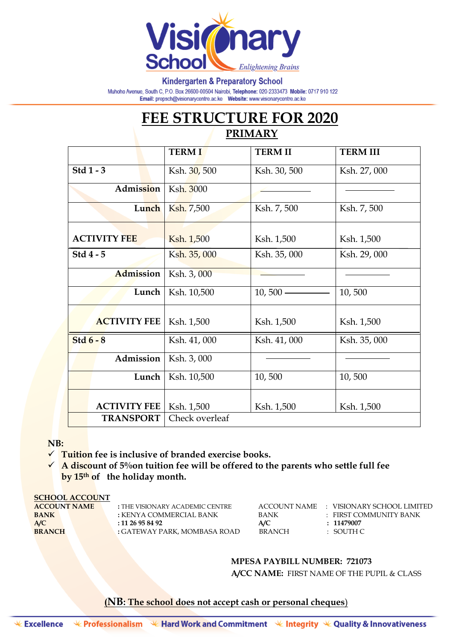

#### **Kindergarten & Preparatory School**

Muhoho Avenue, South C, P.O. Box 26600-00504 Nairobi, Telephone: 020-2333473 Mobile: 0717 910 122 Email: prepsch@visionarycentre.ac.ke Website: www.visionarycentre.ac.ke

# **FEE STRUCTURE FOR 2020 PRIMARY**

|                     |                     |             | <b>TERMI</b>   | <b>TERM II</b> | <b>TERM III</b> |
|---------------------|---------------------|-------------|----------------|----------------|-----------------|
|                     | Std $1 - 3$         |             | Ksh. 30, 500   | Ksh. 30, 500   | Ksh. 27,000     |
| Admission           |                     | Ksh. 3000   |                |                |                 |
|                     |                     | Lunch       | Ksh. 7,500     | Ksh. 7, 500    | Ksh. 7, 500     |
| <b>ACTIVITY FEE</b> |                     | Ksh. 1,500  | Ksh. 1,500     | Ksh. 1,500     |                 |
|                     | Std $4-5$           |             | Ksh. 35,000    | Ksh. 35,000    | Ksh. 29, 000    |
| <b>Admission</b>    |                     |             | Ksh. 3,000     |                |                 |
|                     |                     | Lunch       | Ksh. 10,500    | $10,500 -$     | 10,500          |
|                     | <b>ACTIVITY FEE</b> |             | Ksh. 1,500     | Ksh. 1,500     | Ksh. 1,500      |
| Std $6 - 8$         |                     | Ksh. 41,000 | Ksh. 41,000    | Ksh. 35,000    |                 |
|                     | Admission           |             | Ksh. 3,000     |                |                 |
|                     |                     | Lunch       | Ksh. 10,500    | 10,500         | 10,500          |
|                     | <b>ACTIVITY FEE</b> |             | Ksh. 1,500     | Ksh. 1,500     | Ksh. 1,500      |
|                     | <b>TRANSPORT</b>    |             | Check overleaf |                |                 |

### **NB:**

- **Tuition fee is inclusive of branded exercise books.**
- **A discount of 5%on tuition fee will be offered to the parents who settle full fee by 15th of the holiday month.**

#### **SCHOOL ACCOUNT**

| <b>ACCOUNT NAME</b> | : THE VISIONARY ACADEMIC CENTRE | ACCOUNT NAME  | VISIONARY SCHOOL LIMITED<br>The Common |
|---------------------|---------------------------------|---------------|----------------------------------------|
| <b>BANK</b>         | : KENYA COMMERCIAL BANK         | BANK          | $\pm$ FIRST COMMUNITY BANK             |
| A/C                 | $: 11\,26\,95\,84\,92$          | A/C           | : 11479007                             |
| <b>BRANCH</b>       | : GATEWAY PARK, MOMBASA ROAD    | <b>BRANCH</b> | $\cdot$ SOUTH C                        |
|                     |                                 |               |                                        |

### **MPESA PAYBILL NUMBER: 721073**

**A/CC NAME:** FIRST NAME OF THE PUPIL & CLASS

### **(NB: The school does not accept cash or personal cheques**)